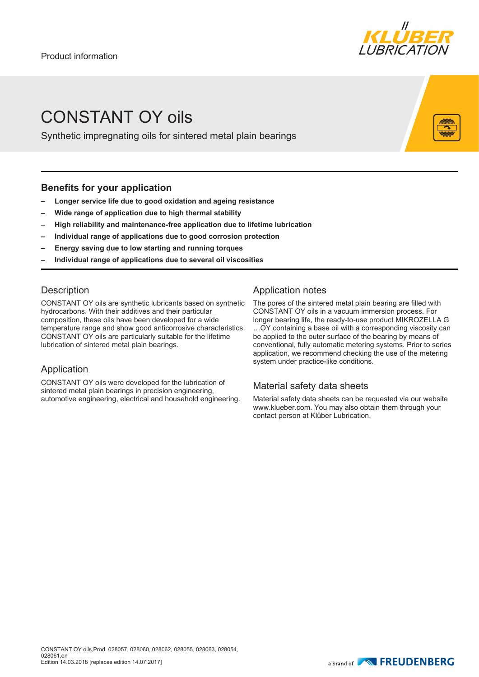

## CONSTANT OY oils

Synthetic impregnating oils for sintered metal plain bearings

#### **Benefits for your application**

- **– Longer service life due to good oxidation and ageing resistance**
- **– Wide range of application due to high thermal stability**
- **– High reliability and maintenance-free application due to lifetime lubrication**
- **– Individual range of applications due to good corrosion protection**
- **– Energy saving due to low starting and running torques**
- **– Individual range of applications due to several oil viscosities**

#### **Description**

CONSTANT OY oils are synthetic lubricants based on synthetic hydrocarbons. With their additives and their particular composition, these oils have been developed for a wide temperature range and show good anticorrosive characteristics. CONSTANT OY oils are particularly suitable for the lifetime lubrication of sintered metal plain bearings.

#### Application

CONSTANT OY oils were developed for the lubrication of sintered metal plain bearings in precision engineering, automotive engineering, electrical and household engineering.

#### Application notes

The pores of the sintered metal plain bearing are filled with CONSTANT OY oils in a vacuum immersion process. For longer bearing life, the ready-to-use product MIKROZELLA G …OY containing a base oil with a corresponding viscosity can be applied to the outer surface of the bearing by means of conventional, fully automatic metering systems. Prior to series application, we recommend checking the use of the metering system under practice-like conditions.

### Material safety data sheets

Material safety data sheets can be requested via our website www.klueber.com. You may also obtain them through your contact person at Klüber Lubrication.

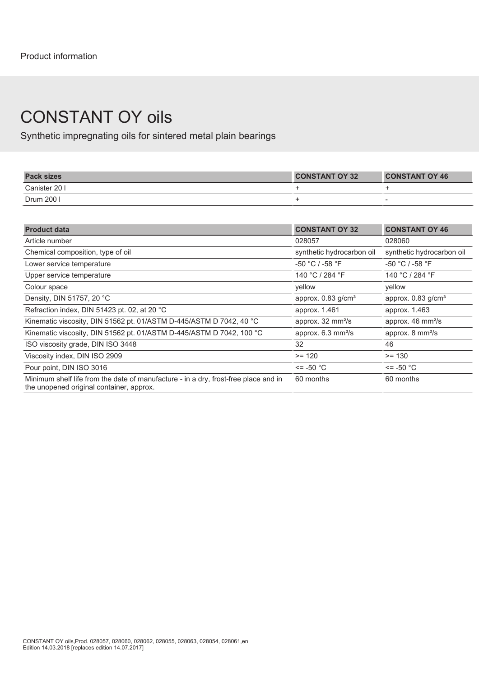### CONSTANT OY oils

Synthetic impregnating oils for sintered metal plain bearings

| <b>Pack sizes</b> | <b>CONSTANT OY 32</b> | <b>CONSTANT OY 46</b> |
|-------------------|-----------------------|-----------------------|
| Canister 20 I     |                       |                       |
| Drum 200          |                       |                       |

| <b>Product data</b>                                                                                                             | <b>CONSTANT OY 32</b>               | <b>CONSTANT OY 46</b>             |
|---------------------------------------------------------------------------------------------------------------------------------|-------------------------------------|-----------------------------------|
| Article number                                                                                                                  | 028057                              | 028060                            |
| Chemical composition, type of oil                                                                                               | synthetic hydrocarbon oil           | synthetic hydrocarbon oil         |
| Lower service temperature                                                                                                       | -50 °C / -58 °F                     | -50 °C / -58 °F                   |
| Upper service temperature                                                                                                       | 140 °C / 284 °F                     | 140 °C / 284 °F                   |
| Colour space                                                                                                                    | vellow                              | vellow                            |
| Density, DIN 51757, 20 °C                                                                                                       | approx. $0.83$ g/cm <sup>3</sup>    | approx. 0.83 g/cm <sup>3</sup>    |
| Refraction index, DIN 51423 pt. 02, at 20 °C                                                                                    | approx. 1.461                       | approx. 1.463                     |
| Kinematic viscosity, DIN 51562 pt. 01/ASTM D-445/ASTM D 7042, 40 °C                                                             | approx. 32 mm <sup>2</sup> /s       | approx. 46 mm <sup>2</sup> /s     |
| Kinematic viscosity, DIN 51562 pt. 01/ASTM D-445/ASTM D 7042, 100 °C                                                            | approx. $6.3 \text{ mm}^2\text{/s}$ | approx. $8 \text{ mm}^2\text{/s}$ |
| ISO viscosity grade, DIN ISO 3448                                                                                               | 32                                  | 46                                |
| Viscosity index, DIN ISO 2909                                                                                                   | $>= 120$                            | $>= 130$                          |
| Pour point, DIN ISO 3016                                                                                                        | $\le$ = -50 °C                      | <= -50 °C                         |
| Minimum shelf life from the date of manufacture - in a dry, frost-free place and in<br>the unopened original container, approx. | 60 months                           | 60 months                         |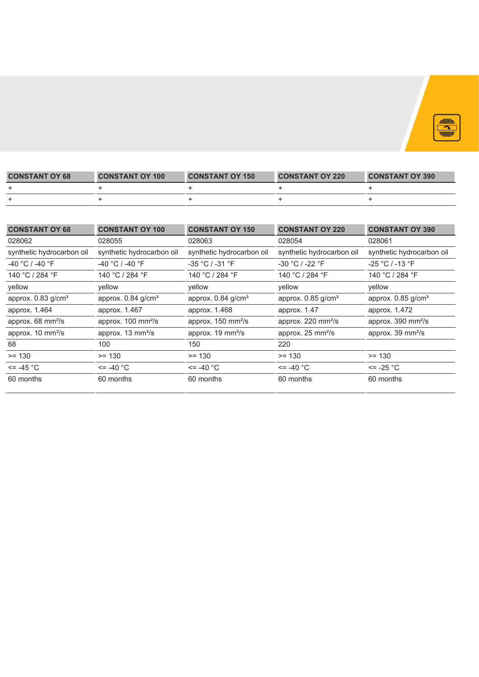

| <b>CONSTANT OY 68</b> | <b>CONSTANT OY 100</b> | <b>CONSTANT OY 150</b> | <b>CONSTANT OY 220</b> | <b>CONSTANT OY 390</b> |
|-----------------------|------------------------|------------------------|------------------------|------------------------|
|                       |                        |                        |                        |                        |
|                       |                        |                        |                        |                        |

| <b>CONSTANT OY 68</b>          | <b>CONSTANT OY 100</b>         | <b>CONSTANT OY 150</b>           | <b>CONSTANT OY 220</b>           | <b>CONSTANT OY 390</b>           |
|--------------------------------|--------------------------------|----------------------------------|----------------------------------|----------------------------------|
| 028062                         | 028055                         | 028063                           | 028054                           | 028061                           |
| synthetic hydrocarbon oil      | synthetic hydrocarbon oil      | synthetic hydrocarbon oil        | synthetic hydrocarbon oil        | synthetic hydrocarbon oil        |
| -40 °C / -40 °F                | -40 °C / -40 °F                | -35 °C / -31 °F                  | -30 °C / -22 °F                  | -25 °C / -13 °F                  |
| 140 °C / 284 °F                | 140 °C / 284 °F                | 140 °C / 284 °F                  | 140 °C / 284 °F                  | 140 °C / 284 °F                  |
| yellow                         | yellow                         | vellow                           | yellow                           | yellow                           |
| approx. 0.83 g/cm <sup>3</sup> | approx. 0.84 g/cm <sup>3</sup> | approx. $0.84$ g/cm <sup>3</sup> | approx. $0.85$ g/cm <sup>3</sup> | approx. $0.85$ g/cm <sup>3</sup> |
| approx. 1.464                  | approx. 1.467                  | approx. 1.468                    | approx. 1.47                     | approx. 1.472                    |
| approx. 68 mm <sup>2</sup> /s  | approx. 100 mm <sup>2</sup> /s | approx. 150 mm <sup>2</sup> /s   | approx. 220 mm <sup>2</sup> /s   | approx. 390 mm <sup>2</sup> /s   |
| approx. 10 mm <sup>2</sup> /s  | approx. 13 mm <sup>2</sup> /s  | approx. 19 mm <sup>2</sup> /s    | approx. 25 mm <sup>2</sup> /s    | approx. 39 mm <sup>2</sup> /s    |
| 68                             | 100                            | 150                              | 220                              |                                  |
| $>= 130$                       | $>= 130$                       | $>= 130$                         | $>= 130$                         | $>= 130$                         |
| $\le$ = -45 $^{\circ}$ C       | $\le$ = -40 $^{\circ}$ C       | $\le$ -40 $^{\circ}$ C           | $\le$ = -40 $^{\circ}$ C         | $\le$ = -25 °C                   |
| 60 months                      | 60 months                      | 60 months                        | 60 months                        | 60 months                        |
|                                |                                |                                  |                                  |                                  |